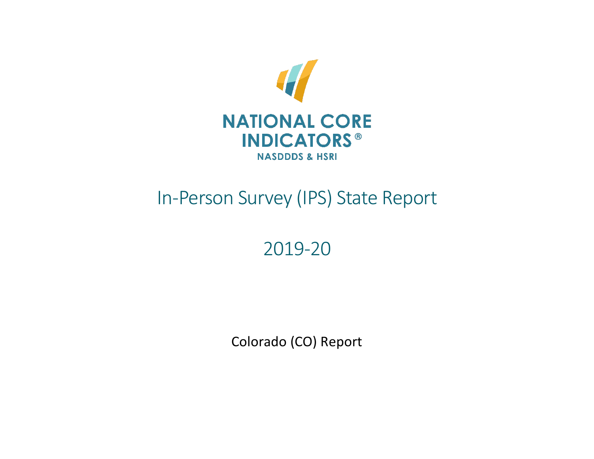

# In-Person Survey (IPS) State Report

# 2019-20

Colorado (CO) Report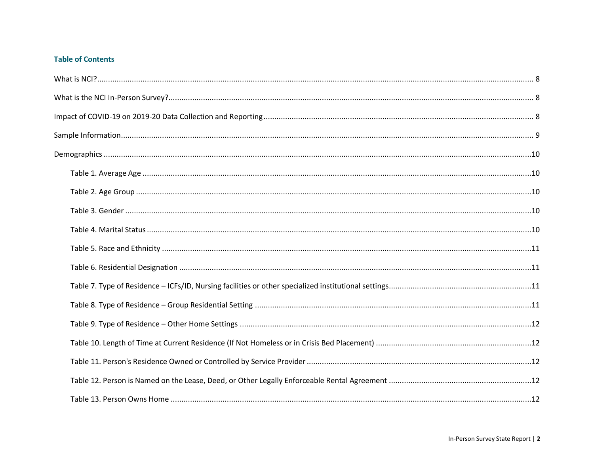# **Table of Contents**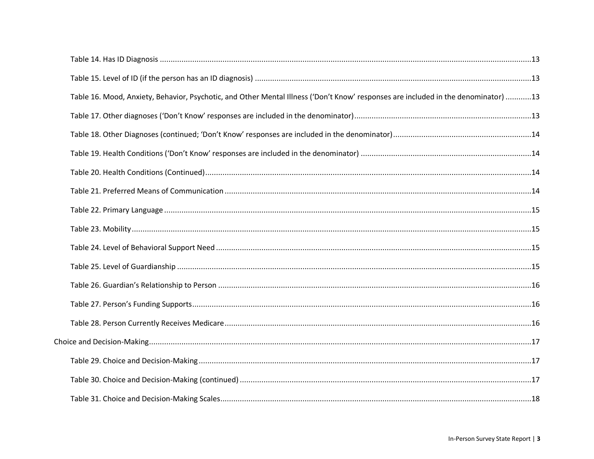| Table 16. Mood, Anxiety, Behavior, Psychotic, and Other Mental Illness ('Don't Know' responses are included in the denominator) 13 |  |
|------------------------------------------------------------------------------------------------------------------------------------|--|
|                                                                                                                                    |  |
|                                                                                                                                    |  |
|                                                                                                                                    |  |
|                                                                                                                                    |  |
|                                                                                                                                    |  |
|                                                                                                                                    |  |
|                                                                                                                                    |  |
|                                                                                                                                    |  |
|                                                                                                                                    |  |
|                                                                                                                                    |  |
|                                                                                                                                    |  |
|                                                                                                                                    |  |
|                                                                                                                                    |  |
|                                                                                                                                    |  |
|                                                                                                                                    |  |
|                                                                                                                                    |  |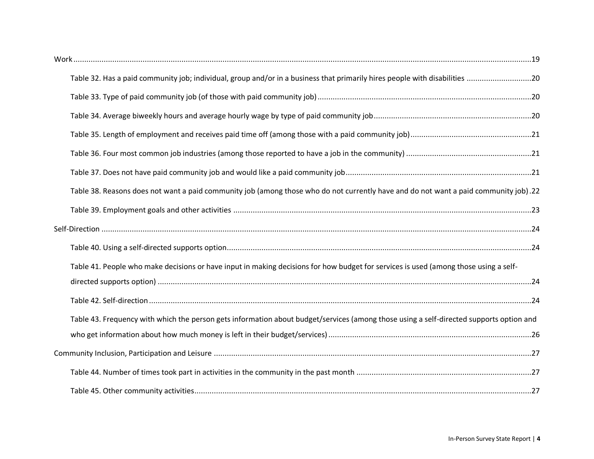| Table 38. Reasons does not want a paid community job (among those who do not currently have and do not want a paid community job).22    |  |
|-----------------------------------------------------------------------------------------------------------------------------------------|--|
|                                                                                                                                         |  |
|                                                                                                                                         |  |
|                                                                                                                                         |  |
| Table 41. People who make decisions or have input in making decisions for how budget for services is used (among those using a self-    |  |
|                                                                                                                                         |  |
|                                                                                                                                         |  |
| Table 43. Frequency with which the person gets information about budget/services (among those using a self-directed supports option and |  |
|                                                                                                                                         |  |
|                                                                                                                                         |  |
|                                                                                                                                         |  |
|                                                                                                                                         |  |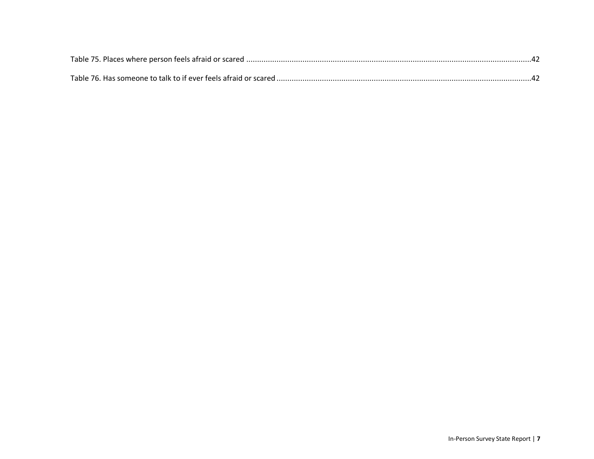<span id="page-6-0"></span>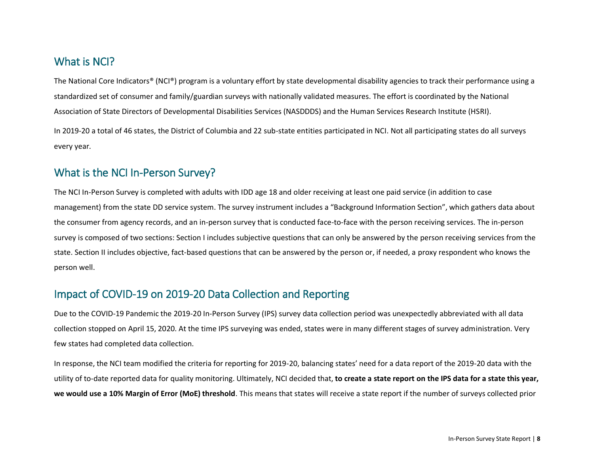# What is NCI?

The National Core Indicators® (NCI®) program is a voluntary effort by state developmental disability agencies to track their performance using a standardized set of consumer and family/guardian surveys with nationally validated measures. The effort is coordinated by the National Association of State Directors of Developmental Disabilities Services (NASDDDS) and the Human Services Research Institute (HSRI).

In 2019-20 a total of 46 states, the District of Columbia and 22 sub-state entities participated in NCI. Not all participating states do all surveys every year.

# <span id="page-7-0"></span>What is the NCI In-Person Survey?

The NCI In-Person Survey is completed with adults with IDD age 18 and older receiving at least one paid service (in addition to case management) from the state DD service system. The survey instrument includes a "Background Information Section", which gathers data about the consumer from agency records, and an in-person survey that is conducted face-to-face with the person receiving services. The in-person survey is composed of two sections: Section I includes subjective questions that can only be answered by the person receiving services from the state. Section II includes objective, fact-based questions that can be answered by the person or, if needed, a proxy respondent who knows the person well.

# <span id="page-7-1"></span>Impact of COVID-19 on 2019-20 Data Collection and Reporting

Due to the COVID-19 Pandemic the 2019-20 In-Person Survey (IPS) survey data collection period was unexpectedly abbreviated with all data collection stopped on April 15, 2020. At the time IPS surveying was ended, states were in many different stages of survey administration. Very few states had completed data collection.

In response, the NCI team modified the criteria for reporting for 2019-20, balancing states' need for a data report of the 2019-20 data with the utility of to-date reported data for quality monitoring. Ultimately, NCI decided that, **to create a state report on the IPS data for a state this year, we would use a 10% Margin of Error (MoE) threshold**. This means that states will receive a state report if the number of surveys collected prior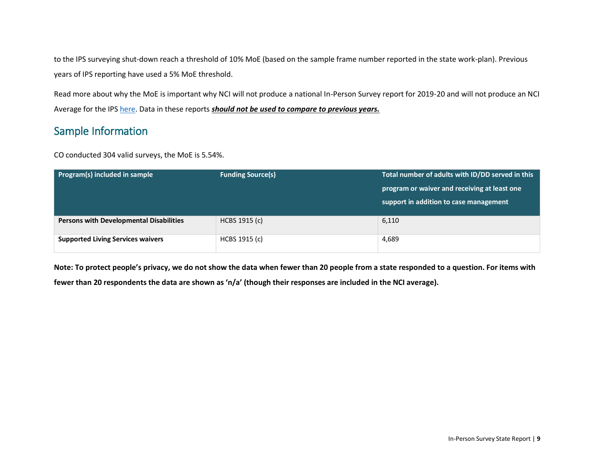to the IPS surveying shut-down reach a threshold of 10% MoE (based on the sample frame number reported in the state work-plan). Previous years of IPS reporting have used a 5% MoE threshold.

Read more about why the MoE is important why NCI will not produce a national In-Person Survey report for 2019-20 and will not produce an NCI Average for the IPS [here.](https://www.nationalcoreindicators.org/upload/aidd/2019-20_IPS_Why_no_NCI_Average_explanation.FINAL_10_6_20201.pdf) Data in these reports *should not be used to compare to previous years.*

# <span id="page-8-0"></span>Sample Information

CO conducted 304 valid surveys, the MoE is 5.54%.

| Program(s) included in sample                  | <b>Funding Source(s)</b> | Total number of adults with ID/DD served in this |  |  |
|------------------------------------------------|--------------------------|--------------------------------------------------|--|--|
|                                                |                          | program or waiver and receiving at least one     |  |  |
|                                                |                          | support in addition to case management           |  |  |
| <b>Persons with Developmental Disabilities</b> | HCBS 1915 (c)            | 6,110                                            |  |  |
|                                                |                          |                                                  |  |  |
| <b>Supported Living Services waivers</b>       | HCBS 1915 (c)            | 4,689                                            |  |  |
|                                                |                          |                                                  |  |  |

**Note: To protect people's privacy, we do not show the data when fewer than 20 people from a state responded to a question. For items with** 

**fewer than 20 respondents the data are shown as 'n/a' (though their responses are included in the NCI average).**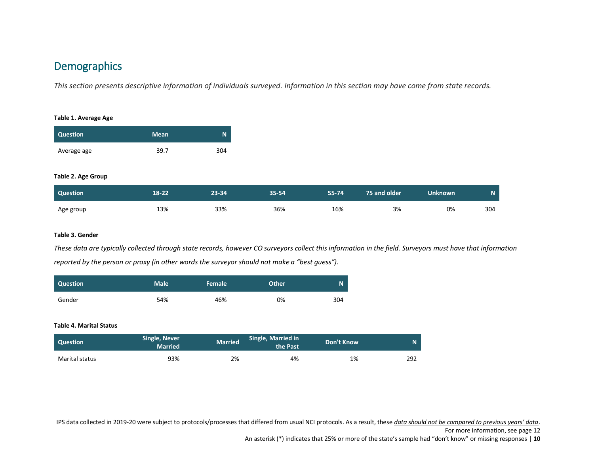# <span id="page-9-0"></span>**Demographics**

*This section presents descriptive information of individuals surveyed. Information in this section may have come from state records.*

#### <span id="page-9-1"></span>**Table 1. Average Age**

| <b>Question</b> | <b>Mean</b> | N   |
|-----------------|-------------|-----|
| Average age     | 39.7        | 304 |

#### <span id="page-9-2"></span>**Table 2. Age Group**

| Question  | $18 - 22$ | 23-34 | $35 - 54$ | 55-74 | 75 and older | Unknown | N.  |
|-----------|-----------|-------|-----------|-------|--------------|---------|-----|
| Age group | 13%       | 33%   | 36%       | 16%   | 3%           | 0%      | 304 |

#### <span id="page-9-3"></span>**Table 3. Gender**

*These data are typically collected through state records, however CO surveyors collect this information in the field. Surveyors must have that information reported by the person or proxy (in other words the surveyor should not make a "best guess").*

| Question | <b>Male</b> | l Female ' | <b>Other</b> | N   |
|----------|-------------|------------|--------------|-----|
| Gender   | 54%         | 46%        | 0%           | 304 |

#### <span id="page-9-4"></span>**Table 4. Marital Status**

| <b>Question</b> | Single, Never<br><b>Married</b> | <b>Married</b> | Single, Married in<br>the Past | Don't Know |     |
|-----------------|---------------------------------|----------------|--------------------------------|------------|-----|
| Marital status  | 93%                             | 2%             | 4%                             | 1%         | 292 |

IPS data collected in 2019-20 were subject to protocols/processes that differed from usual NCI protocols. As a result, these *data should not be compared to previous years' data*.

For more information, see page 12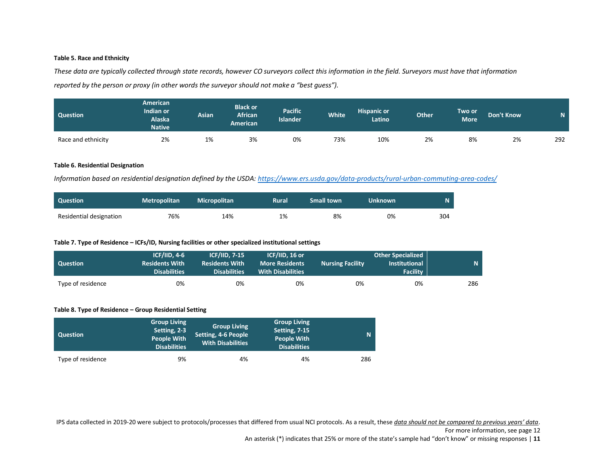#### <span id="page-10-0"></span>**Table 5. Race and Ethnicity**

*These data are typically collected through state records, however CO surveyors collect this information in the field. Surveyors must have that information reported by the person or proxy (in other words the surveyor should not make a "best guess").*

| <b>Question</b>    | <b>American</b><br>Indian or<br><b>Alaska</b><br><b>Native</b> | Asian | <b>Black or</b><br><b>African</b><br><b>American</b> | <b>Pacific</b><br><b>Islander</b> | <b>White</b> | <b>Hispanic or</b><br>Latino | <b>Other</b> | Two or <sup>'</sup><br><b>More</b> | <b>Don't Know</b> | <b>M</b> |
|--------------------|----------------------------------------------------------------|-------|------------------------------------------------------|-----------------------------------|--------------|------------------------------|--------------|------------------------------------|-------------------|----------|
| Race and ethnicity | 2%                                                             | 1%    | 3%                                                   | 0%                                | 73%          | 10%                          | 2%           | 8%                                 | 2%                | 292      |

#### <span id="page-10-1"></span>**Table 6. Residential Designation**

*Information based on residential designation defined by the USDA[: https://www.ers.usda.gov/data-products/rural-urban-commuting-area-codes/](https://www.ers.usda.gov/data-products/rural-urban-commuting-area-codes/)*

| <b>Question</b>         | <b>Metropolitan</b> | <b>Micropolitan</b> | <b>Rural</b> | <b>Small town</b> | Unknown |     |
|-------------------------|---------------------|---------------------|--------------|-------------------|---------|-----|
| Residential designation | 76%                 | 14%                 | 1%           | 8%                | 0%      | 304 |

#### <span id="page-10-2"></span>**Table 7. Type of Residence – ICFs/ID, Nursing facilities or other specialized institutional settings**

| Question          | $ICF/IID. 4-6$<br><b>Residents With</b><br><b>Disabilities</b> | <b>ICF/IID. 7-15</b><br><b>Residents With</b><br><b>Disabilities</b> | ICF/IID. 16 or<br><b>More Residents</b><br><b>With Disabilities</b> | <b>Nursing Facility</b> | <b>Other Specialized</b><br><b>Institutional</b><br><b>Facility</b> | N.  |
|-------------------|----------------------------------------------------------------|----------------------------------------------------------------------|---------------------------------------------------------------------|-------------------------|---------------------------------------------------------------------|-----|
| Type of residence | 0%                                                             | 0%                                                                   | 0%                                                                  | 0%                      | 0%                                                                  | 286 |

### <span id="page-10-3"></span>**Table 8. Type of Residence – Group Residential Setting**

| <b>Question</b>   | <b>Group Living</b><br>Setting, 2-3<br><b>People With</b><br><b>Disabilities</b> | <b>Group Living</b><br>Setting, 4-6 People<br>With Disabilities | <b>Group Living</b><br>Setting, 7-15<br><b>People With</b><br><b>Disabilities</b> |     |
|-------------------|----------------------------------------------------------------------------------|-----------------------------------------------------------------|-----------------------------------------------------------------------------------|-----|
| Type of residence | 9%                                                                               | 4%                                                              | 4%                                                                                | 286 |

IPS data collected in 2019-20 were subject to protocols/processes that differed from usual NCI protocols. As a result, these *data should not be compared to previous years' data*.

For more information, see page 12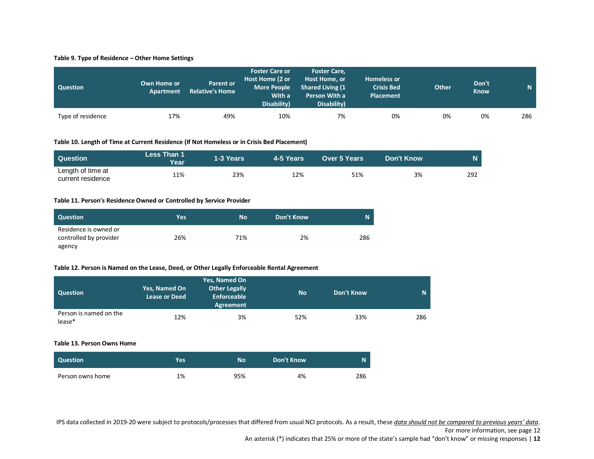#### <span id="page-11-0"></span>**Table 9. Type of Residence – Other Home Settings**

| <b>Question</b>   | Own Home or<br>Apartment | <b>Parent or</b><br><b>Relative's Home</b> | <b>Foster Care or</b><br>Host Home (2 or<br><b>More People</b><br>With a<br>Disability) | <b>Foster Care,</b><br>Host Home, or<br><b>Shared Living (1)</b><br>Person With a<br>Disability) | <b>Homeless or</b><br><b>Crisis Bed</b><br>Placement | <b>Other</b> | Don't<br><b>Know</b> | $\mathbf N$ |
|-------------------|--------------------------|--------------------------------------------|-----------------------------------------------------------------------------------------|--------------------------------------------------------------------------------------------------|------------------------------------------------------|--------------|----------------------|-------------|
| Type of residence | 17%                      | 49%                                        | 10%                                                                                     | 7%                                                                                               | 0%                                                   | 0%           | 0%                   | 286         |

#### <span id="page-11-1"></span>**Table 10. Length of Time at Current Residence (If Not Homeless or in Crisis Bed Placement)**

| Question                               | Less Than 1<br>Year | 1-3 Years | 4-5 Years | <b>Over 5 Years</b> | Don't Know | N.  |
|----------------------------------------|---------------------|-----------|-----------|---------------------|------------|-----|
| Length of time at<br>current residence | 11%                 | 23%       | 12%       | 51%                 | 3%         | 292 |

#### <span id="page-11-2"></span>**Table 11. Person's Residence Owned or Controlled by Service Provider**

| <b>Question</b>                                 | Yes | <b>No</b> | Don't Know | N   |
|-------------------------------------------------|-----|-----------|------------|-----|
| Residence is owned or<br>controlled by provider | 26% | 71%       | 2%         | 286 |
| agency                                          |     |           |            |     |

#### <span id="page-11-3"></span>**Table 12. Person is Named on the Lease, Deed, or Other Legally Enforceable Rental Agreement**

| Question                         | Yes, Named On<br><b>Lease or Deed</b> | Yes, Named On<br><b>Other Legally</b><br>Enforceable<br>Agreement | <b>No</b> | Don't Know |     |
|----------------------------------|---------------------------------------|-------------------------------------------------------------------|-----------|------------|-----|
| Person is named on the<br>lease* | 12%                                   | 3%                                                                | 52%       | 33%        | 286 |

#### <span id="page-11-4"></span>**Table 13. Person Owns Home**

| <b>Question</b>  | <b>Yes</b> | <b>No</b> | Don't Know | N   |
|------------------|------------|-----------|------------|-----|
| Person owns home | 1%         | 95%       | 4%         | 286 |

IPS data collected in 2019-20 were subject to protocols/processes that differed from usual NCI protocols. As a result, these *data should not be compared to previous years' data*.

#### For more information, see page 12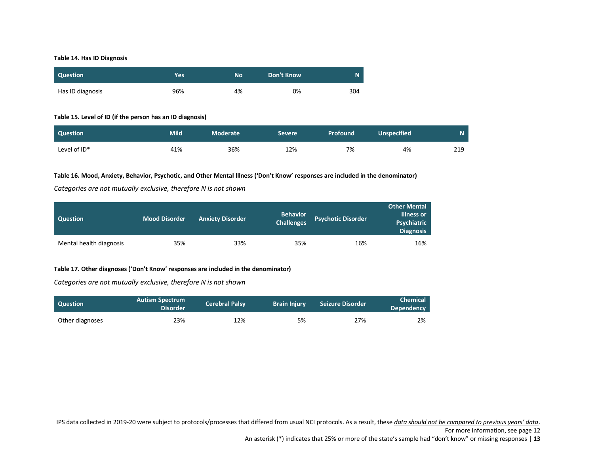#### <span id="page-12-0"></span>**Table 14. Has ID Diagnosis**

| <b>Question</b>  | Yes | No | <b>Don't Know</b> |     |
|------------------|-----|----|-------------------|-----|
| Has ID diagnosis | 96% | 4% | 0%                | 304 |

# <span id="page-12-1"></span>**Table 15. Level of ID (if the person has an ID diagnosis)**

| Question     | Mild | Moderate | ' Severe | <b>Profound</b> | <b>Unspecified</b> | 'N. |
|--------------|------|----------|----------|-----------------|--------------------|-----|
| Level of ID* | 41%  | 36%      | 12%      | 7%              | 4%                 | 219 |

#### <span id="page-12-2"></span>**Table 16. Mood, Anxiety, Behavior, Psychotic, and Other Mental Illness ('Don't Know' responses are included in the denominator)**

*Categories are not mutually exclusive, therefore N is not shown*

| <b>Question</b>         | <b>Mood Disorder</b> | <b>Anxiety Disorder</b> | <b>Behavior</b><br><b>Challenges</b> | <b>Psychotic Disorder</b> | <b>Other Mental</b><br><b>Illness or</b><br>Psychiatric<br><b>Diagnosis</b> |
|-------------------------|----------------------|-------------------------|--------------------------------------|---------------------------|-----------------------------------------------------------------------------|
| Mental health diagnosis | 35%                  | 33%                     | 35%                                  | 16%                       | 16%                                                                         |

## <span id="page-12-3"></span>**Table 17. Other diagnoses ('Don't Know' responses are included in the denominator)**

*Categories are not mutually exclusive, therefore N is not shown*

| <b>Question</b> | <b>Autism Spectrum</b><br><b>Disorder</b> | <b>Cerebral Palsy</b> | <b>Brain Injury</b> | <b>Seizure Disorder</b> | <b>Chemical</b><br>Dependency |
|-----------------|-------------------------------------------|-----------------------|---------------------|-------------------------|-------------------------------|
| Other diagnoses | 23%                                       | 12%                   | 5%                  | 27%                     | 2%                            |

IPS data collected in 2019-20 were subject to protocols/processes that differed from usual NCI protocols. As a result, these *data should not be compared to previous years' data*.

For more information, see page 12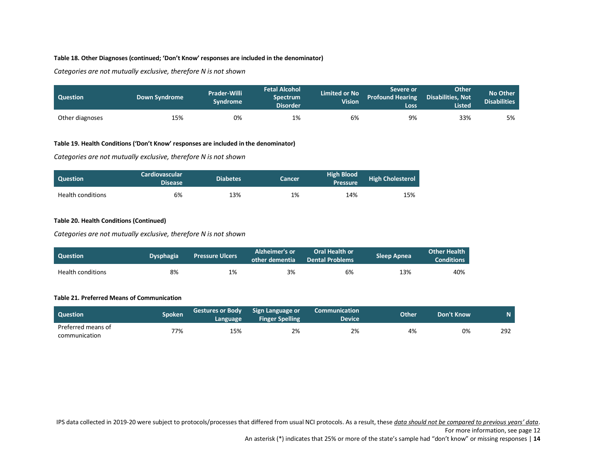# <span id="page-13-0"></span>**Table 18. Other Diagnoses (continued; 'Don't Know' responses are included in the denominator)**

*Categories are not mutually exclusive, therefore N is not shown*

| <b>Question</b> | <b>Down Syndrome</b> | <b>Prader-Willi</b><br>Svndrome | <b>Fetal Alcohol</b><br><b>Spectrum</b><br><b>Disorder</b> | <b>Limited or No</b><br><b>Vision</b> | Severe or<br><b>Profound Hearing</b><br>Loss | <b>Other</b><br><b>Disabilities. Not</b><br><b>Listed</b> | No Other<br><b>Disabilities</b> |
|-----------------|----------------------|---------------------------------|------------------------------------------------------------|---------------------------------------|----------------------------------------------|-----------------------------------------------------------|---------------------------------|
| Other diagnoses | 15%                  | 0%                              | 1%                                                         | 6%                                    | 9%                                           | 33%                                                       | 5%                              |

# <span id="page-13-1"></span>**Table 19. Health Conditions ('Don't Know' responses are included in the denominator)**

*Categories are not mutually exclusive, therefore N is not shown*

| <b>Question</b>          | <b>Cardiovascular</b><br><b>Disease</b> | <b>Diabetes</b> | Cancer | High Blood<br><b>Pressure</b> | <b>High Cholesterol</b> |
|--------------------------|-----------------------------------------|-----------------|--------|-------------------------------|-------------------------|
| <b>Health conditions</b> | 6%                                      | 13%             | 1%     | 14%                           | 15%                     |

### <span id="page-13-2"></span>**Table 20. Health Conditions (Continued)**

*Categories are not mutually exclusive, therefore N is not shown*

| Question                 | <b>Dysphagia</b> | <b>Pressure Ulcers</b> | Alzheimer's or<br>other dementia | <b>Oral Health or</b><br><b>Dental Problems</b> | <b>Sleep Apnea</b> | <b>Other Health</b><br><b>Conditions</b> |
|--------------------------|------------------|------------------------|----------------------------------|-------------------------------------------------|--------------------|------------------------------------------|
| <b>Health conditions</b> | 8%               | 1%                     | 3%                               | 6%                                              | 13%                | 40%                                      |

#### <span id="page-13-3"></span>**Table 21. Preferred Means of Communication**

| <b>Question</b>                     | Spoken | <b>Gestures or Body</b><br>Language | Sign Language or<br><b>Finger Spelling</b> | <b>Communication</b><br>Device' | Other | Don't Know | N   |
|-------------------------------------|--------|-------------------------------------|--------------------------------------------|---------------------------------|-------|------------|-----|
| Preferred means of<br>communication | 77%    | 15%                                 | 2%                                         | 2%                              | 4%    | 0%         | 292 |

IPS data collected in 2019-20 were subject to protocols/processes that differed from usual NCI protocols. As a result, these *data should not be compared to previous years' data*.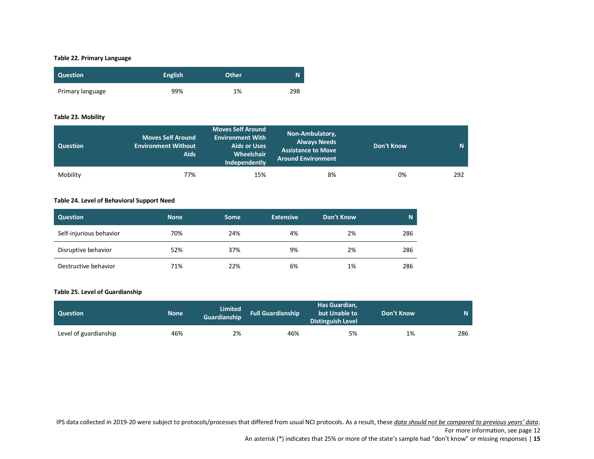# <span id="page-14-0"></span>**Table 22. Primary Language**

| <b>Question</b>  | <b>English</b> | <b>Other</b> | N   |
|------------------|----------------|--------------|-----|
| Primary language | 99%            | 1%           | 298 |

#### <span id="page-14-1"></span>**Table 23. Mobility**

| <b>Question</b> | <b>Moves Self Around</b><br>Environment Without<br><b>Aids</b> | <b>Moves Self Around</b><br><b>Environment With</b><br><b>Aids or Uses</b><br>Wheelchair<br>Independently | Non-Ambulatory,<br><b>Always Needs</b><br><b>Assistance to Move</b><br><b>Around Environment</b> | Don't Know | N   |
|-----------------|----------------------------------------------------------------|-----------------------------------------------------------------------------------------------------------|--------------------------------------------------------------------------------------------------|------------|-----|
| Mobility        | 77%                                                            | 15%                                                                                                       | 8%                                                                                               | 0%         | 292 |

# <span id="page-14-2"></span>**Table 24. Level of Behavioral Support Need**

| <b>Question</b>         | <b>None</b> | <b>Some</b> | <b>Extensive</b> | Don't Know | N   |
|-------------------------|-------------|-------------|------------------|------------|-----|
| Self-injurious behavior | 70%         | 24%         | 4%               | 2%         | 286 |
| Disruptive behavior     | 52%         | 37%         | 9%               | 2%         | 286 |
| Destructive behavior    | 71%         | 22%         | 6%               | 1%         | 286 |

## <span id="page-14-3"></span>**Table 25. Level of Guardianship**

| <b>Question</b>       | <b>None</b> | Limited<br>Guardianship | <b>Full Guardianship</b> | Has Guardian,<br>but Unable to<br><b>Distinguish Level</b> | Don't Know |     |
|-----------------------|-------------|-------------------------|--------------------------|------------------------------------------------------------|------------|-----|
| Level of guardianship | 46%         | 2%                      | 46%                      | 5%                                                         | 1%         | 286 |

IPS data collected in 2019-20 were subject to protocols/processes that differed from usual NCI protocols. As a result, these *data should not be compared to previous years' data*.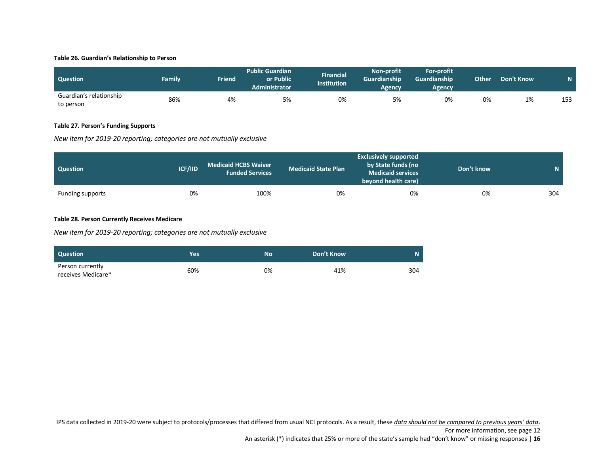#### <span id="page-15-0"></span>**Table 26. Guardian's Relationship to Person**

| <b>Question</b>                      | Family | Friend | <b>Public Guardian</b><br>or Public<br><b>Administrator</b> | Financial<br><b>Institution</b> | <b>Non-profit</b><br><b>Guardianship</b><br>Agency | For-profit<br>Guardianship<br>Agencv | Other | <b>Don't Know</b> |     |
|--------------------------------------|--------|--------|-------------------------------------------------------------|---------------------------------|----------------------------------------------------|--------------------------------------|-------|-------------------|-----|
| Guardian's relationship<br>to person | 86%    | 4%     | 5%                                                          | 0%                              | 5%                                                 | 0%                                   | 0%    | 1%                | 153 |

# <span id="page-15-1"></span>**Table 27. Person's Funding Supports**

*New item for 2019-20 reporting; categories are not mutually exclusive*

| <b>Question</b>  | <b>ICF/IID</b> | <b>Medicaid HCBS Waiver</b><br><b>Funded Services</b> | <b>Medicaid State Plan</b> | <b>Exclusively supported</b><br>by State funds (no<br><b>Medicaid services</b><br>beyond health care) | Don't know | $\mathbf{N}$ . |
|------------------|----------------|-------------------------------------------------------|----------------------------|-------------------------------------------------------------------------------------------------------|------------|----------------|
| Funding supports | 0%             | 100%                                                  | 0%                         | 0%                                                                                                    | 0%         | 304            |

# <span id="page-15-2"></span>**Table 28. Person Currently Receives Medicare**

*New item for 2019-20 reporting; categories are not mutually exclusive*

| <b>Question</b>                        | <b>Yes</b> | <b>No</b> | Don't Know |     |
|----------------------------------------|------------|-----------|------------|-----|
| Person currently<br>receives Medicare* | 60%        | 0%        | 41%        | 304 |

IPS data collected in 2019-20 were subject to protocols/processes that differed from usual NCI protocols. As a result, these *data should not be compared to previous years' data*.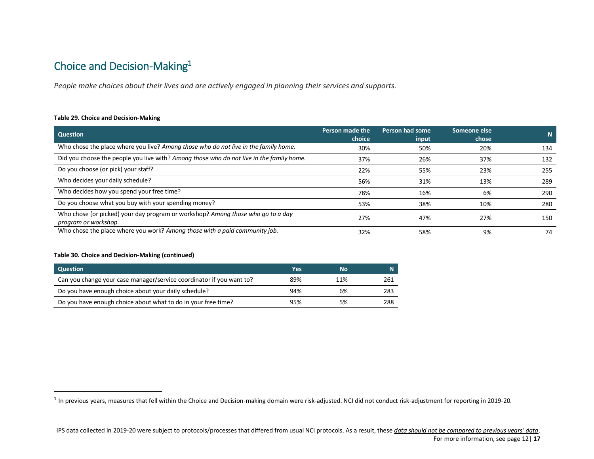# <span id="page-16-0"></span>Choice and Decision-Making<sup>1</sup>

*People make choices about their lives and are actively engaged in planning their services and supports.*

### <span id="page-16-1"></span>**Table 29. Choice and Decision-Making**

| <b>Question</b>                                                                                         | Person made the<br>choice | Person had some<br>input | Someone else<br>chose | N   |
|---------------------------------------------------------------------------------------------------------|---------------------------|--------------------------|-----------------------|-----|
| Who chose the place where you live? Among those who do not live in the family home.                     | 30%                       | 50%                      | 20%                   | 134 |
| Did you choose the people you live with? Among those who do not live in the family home.                | 37%                       | 26%                      | 37%                   | 132 |
| Do you choose (or pick) your staff?                                                                     | 22%                       | 55%                      | 23%                   | 255 |
| Who decides your daily schedule?                                                                        | 56%                       | 31%                      | 13%                   | 289 |
| Who decides how you spend your free time?                                                               | 78%                       | 16%                      | 6%                    | 290 |
| Do you choose what you buy with your spending money?                                                    | 53%                       | 38%                      | 10%                   | 280 |
| Who chose (or picked) your day program or workshop? Among those who go to a day<br>program or workshop. | 27%                       | 47%                      | 27%                   | 150 |
| Who chose the place where you work? Among those with a paid community job.                              | 32%                       | 58%                      | 9%                    | 74  |

### <span id="page-16-2"></span>**Table 30. Choice and Decision-Making (continued)**

 $\overline{\phantom{a}}$ 

| <b>Question</b>                                                      | Yes | <b>No</b> | N   |
|----------------------------------------------------------------------|-----|-----------|-----|
| Can you change your case manager/service coordinator if you want to? | 89% | 11%       | 261 |
| Do you have enough choice about your daily schedule?                 | 94% | 6%        | 283 |
| Do you have enough choice about what to do in your free time?        | 95% | 5%        | 288 |

 $^1$  In previous years, measures that fell within the Choice and Decision-making domain were risk-adjusted. NCI did not conduct risk-adjustment for reporting in 2019-20.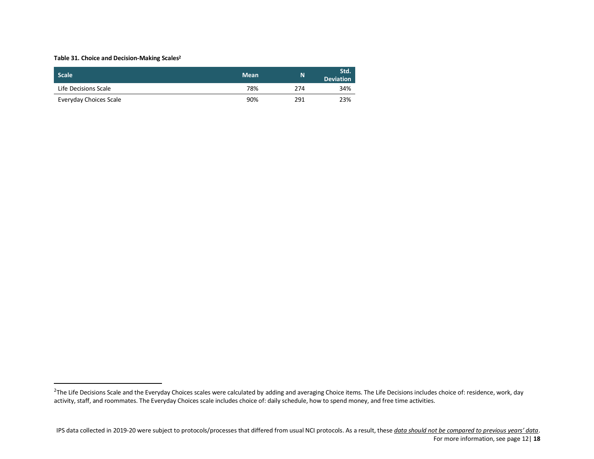### <span id="page-17-0"></span>**Table 31. Choice and Decision-Making Scales<sup>2</sup>**

 $\overline{a}$ 

| <b>Scale</b>           | <b>Mean</b> | N   | Std.<br><b>Deviation</b> |
|------------------------|-------------|-----|--------------------------|
| Life Decisions Scale   | 78%         | 274 | 34%                      |
| Everyday Choices Scale | 90%         | 291 | 23%                      |

 $^2$ The Life Decisions Scale and the Everyday Choices scales were calculated by adding and averaging Choice items. The Life Decisions includes choice of: residence, work, day activity, staff, and roommates. The Everyday Choices scale includes choice of: daily schedule, how to spend money, and free time activities.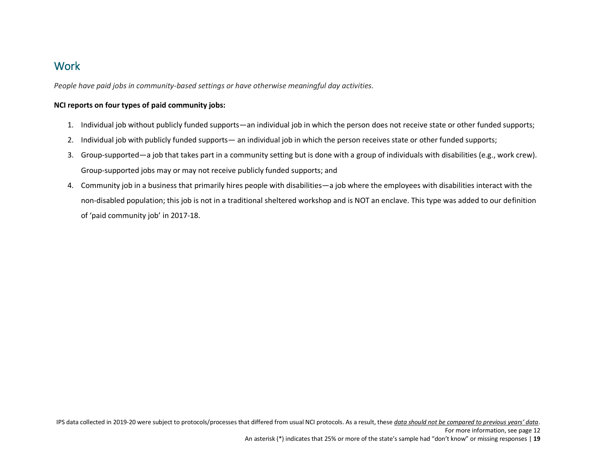# <span id="page-18-0"></span>**Work**

*People have paid jobs in community-based settings or have otherwise meaningful day activities.*

# **NCI reports on four types of paid community jobs:**

- 1. Individual job without publicly funded supports—an individual job in which the person does not receive state or other funded supports;
- 2. Individual job with publicly funded supports— an individual job in which the person receives state or other funded supports;
- 3. Group-supported—a job that takes part in a community setting but is done with a group of individuals with disabilities (e.g., work crew). Group-supported jobs may or may not receive publicly funded supports; and
- 4. Community job in a business that primarily hires people with disabilities—a job where the employees with disabilities interact with the non-disabled population; this job is not in a traditional sheltered workshop and is NOT an enclave. This type was added to our definition of 'paid community job' in 2017-18.

An asterisk (\*) indicates that 25% or more of the state's sample had "don't know" or missing responses | **19**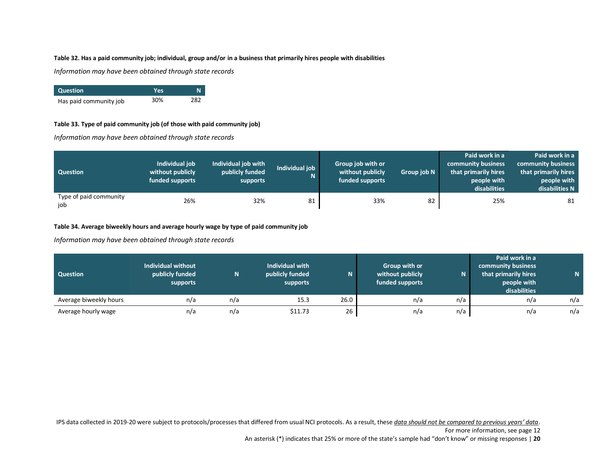# <span id="page-19-0"></span>**Table 32. Has a paid community job; individual, group and/or in a business that primarily hires people with disabilities**

*Information may have been obtained through state records*

| <b>Question</b>        | Yes |     |
|------------------------|-----|-----|
| Has paid community job | 30% | 282 |

## <span id="page-19-1"></span>**Table 33. Type of paid community job (of those with paid community job)**

*Information may have been obtained through state records*

| <b>Question</b>               | Individual job<br>without publicly<br>funded supports | Individual job with<br>publicly funded<br>supports | Individual job | Group job with or<br>without publicly<br>funded supports | Group job N | Paid work in a<br>community business<br>that primarily hires<br>people with<br>disabilities | Paid work in a<br>community business<br>that primarily hires<br>people with<br>disabilities N |
|-------------------------------|-------------------------------------------------------|----------------------------------------------------|----------------|----------------------------------------------------------|-------------|---------------------------------------------------------------------------------------------|-----------------------------------------------------------------------------------------------|
| Type of paid community<br>job | 26%                                                   | 32%                                                | 81             | 33%                                                      | 82          | 25%                                                                                         | 81                                                                                            |

# <span id="page-19-2"></span>**Table 34. Average biweekly hours and average hourly wage by type of paid community job**

*Information may have been obtained through state records*

| <b>Question</b>        | Individual without<br>publicly funded<br>supports | N.  | Individual with<br>publicly funded<br>supports | N.   | Group with or<br>without publicly<br>funded supports | N   | Paid work in a<br>community business<br>that primarily hires<br>people with<br>disabilities |     |
|------------------------|---------------------------------------------------|-----|------------------------------------------------|------|------------------------------------------------------|-----|---------------------------------------------------------------------------------------------|-----|
| Average biweekly hours | n/a                                               | n/a | 15.3                                           | 26.0 | n/a                                                  | n/a | n/a                                                                                         | n/a |
| Average hourly wage    | n/a                                               | n/a | \$11.73                                        | 26   | n/a                                                  | n/a | n/a                                                                                         | n/a |

IPS data collected in 2019-20 were subject to protocols/processes that differed from usual NCI protocols. As a result, these *data should not be compared to previous years' data*.

For more information, see page 12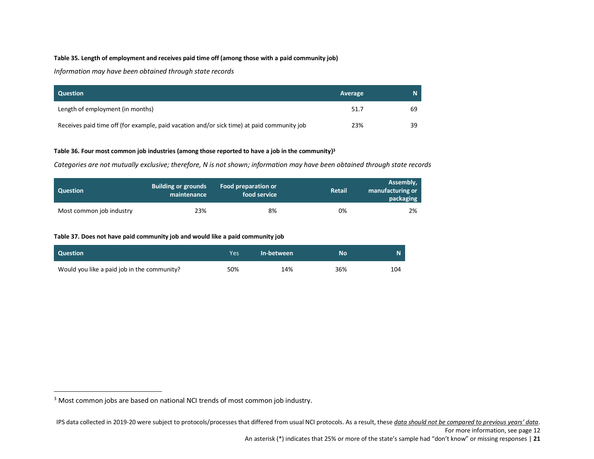#### <span id="page-20-0"></span>**Table 35. Length of employment and receives paid time off (among those with a paid community job)**

*Information may have been obtained through state records*

| <b>Question</b>                                                                            | Average |    |
|--------------------------------------------------------------------------------------------|---------|----|
| Length of employment (in months)                                                           | 51.7    | 69 |
| Receives paid time off (for example, paid vacation and/or sick time) at paid community job | 23%     | 39 |

#### <span id="page-20-1"></span>**Table 36. Four most common job industries (among those reported to have a job in the community) 3**

*Categories are not mutually exclusive; therefore, N is not shown; information may have been obtained through state records*

| <b>Question</b>          | <b>Building or grounds</b><br>maintenance | Food preparation or<br>food service | <b>Retail</b> | Assembly,<br>manufacturing or<br>packaging |
|--------------------------|-------------------------------------------|-------------------------------------|---------------|--------------------------------------------|
| Most common job industry | 23%                                       | 8%                                  | 0%            | 2%                                         |

### <span id="page-20-2"></span>**Table 37. Does not have paid community job and would like a paid community job**

| Question                                    | Yes | In-between | No  |     |
|---------------------------------------------|-----|------------|-----|-----|
| Would you like a paid job in the community? | 50% | 14%        | 36% | 104 |

 $\overline{\phantom{a}}$ 

<sup>&</sup>lt;sup>3</sup> Most common jobs are based on national NCI trends of most common job industry.

IPS data collected in 2019-20 were subject to protocols/processes that differed from usual NCI protocols. As a result, these *data should not be compared to previous years' data*.

An asterisk (\*) indicates that 25% or more of the state's sample had "don't know" or missing responses | **21**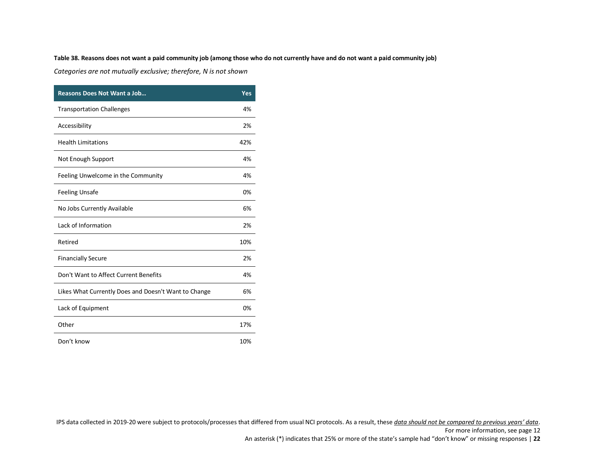### <span id="page-21-0"></span>**Table 38. Reasons does not want a paid community job (among those who do not currently have and do not want a paid community job)**

*Categories are not mutually exclusive; therefore, N is not shown*

| <b>Reasons Does Not Want a Job</b>                   | Yes |
|------------------------------------------------------|-----|
| <b>Transportation Challenges</b>                     | 4%  |
| Accessibility                                        | 2%  |
| <b>Health Limitations</b>                            | 42% |
| Not Enough Support                                   | 4%  |
| Feeling Unwelcome in the Community                   | 4%  |
| <b>Feeling Unsafe</b>                                | 0%  |
| No Jobs Currently Available                          | 6%  |
| Lack of Information                                  | 2%  |
| Retired                                              | 10% |
| <b>Financially Secure</b>                            | 2%  |
| Don't Want to Affect Current Benefits                | 4%  |
| Likes What Currently Does and Doesn't Want to Change | 6%  |
| Lack of Equipment                                    | 0%  |
| Other                                                | 17% |
| Don't know                                           | 10% |

IPS data collected in 2019-20 were subject to protocols/processes that differed from usual NCI protocols. As a result, these *data should not be compared to previous years' data*.

For more information, see page 12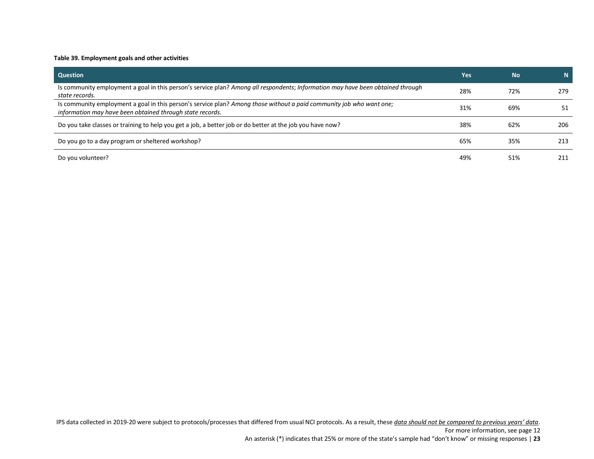### <span id="page-22-0"></span>**Table 39. Employment goals and other activities**

| Question                                                                                                                                                                          | Yes | <b>No</b> | 'N J |
|-----------------------------------------------------------------------------------------------------------------------------------------------------------------------------------|-----|-----------|------|
| Is community employment a goal in this person's service plan? Among all respondents; Information may have been obtained through<br>state records.                                 | 28% | 72%       | 279  |
| Is community employment a goal in this person's service plan? Among those without a paid community job who want one;<br>information may have been obtained through state records. | 31% | 69%       | 51   |
| Do you take classes or training to help you get a job, a better job or do better at the job you have now?                                                                         | 38% | 62%       | 206  |
| Do you go to a day program or sheltered workshop?                                                                                                                                 | 65% | 35%       | 213  |
| Do you volunteer?                                                                                                                                                                 | 49% | 51%       | 211  |

IPS data collected in 2019-20 were subject to protocols/processes that differed from usual NCI protocols. As a result, these *data should not be compared to previous years' data*.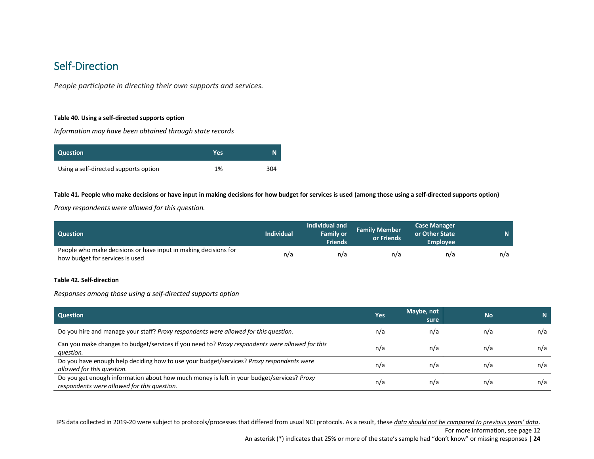# <span id="page-23-0"></span>Self-Direction

*People participate in directing their own supports and services.*

#### <span id="page-23-1"></span>**Table 40. Using a self-directed supports option**

*Information may have been obtained through state records*

| <b>Question</b>                       | Yes | N   |
|---------------------------------------|-----|-----|
| Using a self-directed supports option | 1%  | 304 |

#### <span id="page-23-2"></span>**Table 41. People who make decisions or have input in making decisions for how budget for services is used (among those using a self-directed supports option)**

*Proxy respondents were allowed for this question.*

| <b>Question</b>                                                                                    | <b>Individual</b> | Individual and<br><b>Family or</b><br><b>Friends</b> | <b>Family Member</b><br>or Friends | <b>Case Manager</b><br>or Other State<br><b>Employee</b> |     |
|----------------------------------------------------------------------------------------------------|-------------------|------------------------------------------------------|------------------------------------|----------------------------------------------------------|-----|
| People who make decisions or have input in making decisions for<br>how budget for services is used | n/a               | n/a                                                  | n/a                                | n/a                                                      | n/a |

#### <span id="page-23-3"></span>**Table 42. Self-direction**

*Responses among those using a self-directed supports option*

| <b>Question</b>                                                                                                                          | Yes | Maybe, not<br>sure | <b>No</b> |     |
|------------------------------------------------------------------------------------------------------------------------------------------|-----|--------------------|-----------|-----|
| Do you hire and manage your staff? Proxy respondents were allowed for this question.                                                     | n/a | n/a                | n/a       | n/a |
| Can you make changes to budget/services if you need to? Proxy respondents were allowed for this<br>question.                             | n/a | n/a                | n/a       | n/a |
| Do you have enough help deciding how to use your budget/services? Proxy respondents were<br>allowed for this question.                   | n/a | n/a                | n/a       | n/a |
| Do you get enough information about how much money is left in your budget/services? Proxy<br>respondents were allowed for this question. | n/a | n/a                | n/a       | n/a |

IPS data collected in 2019-20 were subject to protocols/processes that differed from usual NCI protocols. As a result, these *data should not be compared to previous years' data*.

For more information, see page 12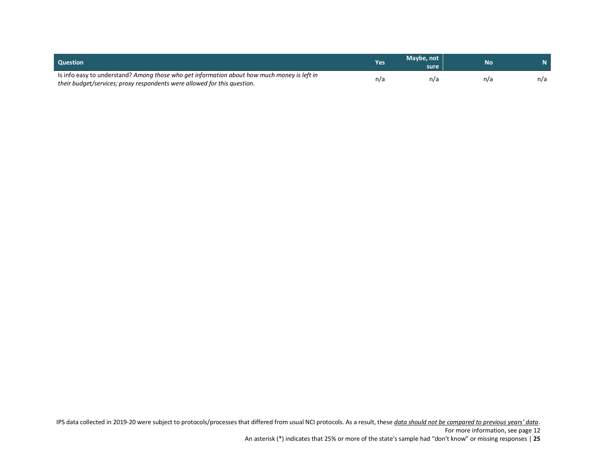| <b>Question</b>                                                                                                                                                         | <b>Yes</b> | Maybe, not<br>sure | No  |     |
|-------------------------------------------------------------------------------------------------------------------------------------------------------------------------|------------|--------------------|-----|-----|
| Is info easy to understand? Among those who get information about how much money is left in<br>their budget/services; proxy respondents were allowed for this question. | n/a        | n/a                | n/a | n/a |

IPS data collected in 2019-20 were subject to protocols/processes that differed from usual NCI protocols. As a result, these *data should not be compared to previous years' data*.

An asterisk (\*) indicates that 25% or more of the state's sample had "don't know" or missing responses | **25**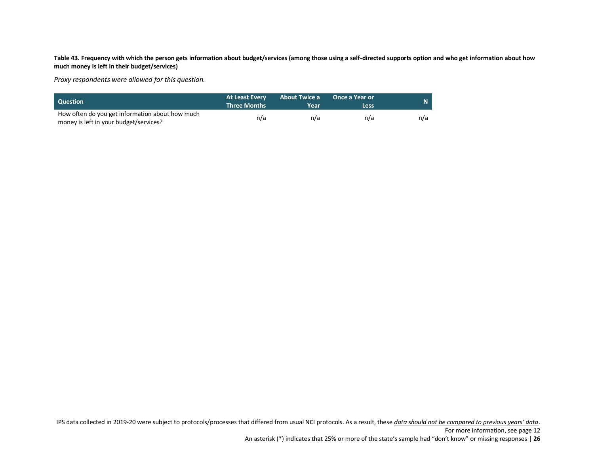<span id="page-25-0"></span>**Table 43. Frequency with which the person gets information about budget/services (among those using a self-directed supports option and who get information about how much money is left in their budget/services)**

*Proxy respondents were allowed for this question.*

| <b>Question</b>                                                                           | <b>At Least Every</b><br><b>Three Months</b> | <b>About Twice a</b><br>Year | <b>Once a Year or</b><br>Less | $\mathbf N$ . |
|-------------------------------------------------------------------------------------------|----------------------------------------------|------------------------------|-------------------------------|---------------|
| How often do you get information about how much<br>money is left in your budget/services? | n/a                                          | n/a                          | n/a                           | n/a           |

IPS data collected in 2019-20 were subject to protocols/processes that differed from usual NCI protocols. As a result, these *data should not be compared to previous years' data*.

An asterisk (\*) indicates that 25% or more of the state's sample had "don't know" or missing responses | **26**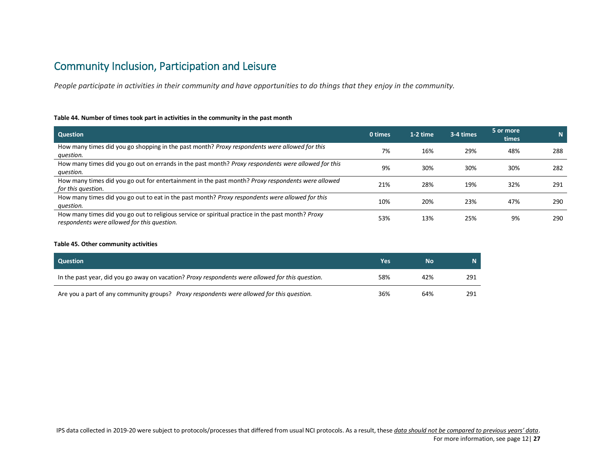# <span id="page-26-0"></span>Community Inclusion, Participation and Leisure

*People participate in activities in their community and have opportunities to do things that they enjoy in the community.*

#### <span id="page-26-1"></span>**Table 44. Number of times took part in activities in the community in the past month**

| <b>Question</b>                                                                                                                                  | 0 times | 1-2 time | 3-4 times | 5 or more<br>times | N   |
|--------------------------------------------------------------------------------------------------------------------------------------------------|---------|----------|-----------|--------------------|-----|
| How many times did you go shopping in the past month? Proxy respondents were allowed for this<br>question.                                       | 7%      | 16%      | 29%       | 48%                | 288 |
| How many times did you go out on errands in the past month? Proxy respondents were allowed for this<br>question.                                 | 9%      | 30%      | 30%       | 30%                | 282 |
| How many times did you go out for entertainment in the past month? Proxy respondents were allowed<br>for this question.                          | 21%     | 28%      | 19%       | 32%                | 291 |
| How many times did you go out to eat in the past month? Proxy respondents were allowed for this<br>question.                                     | 10%     | 20%      | 23%       | 47%                | 290 |
| How many times did you go out to religious service or spiritual practice in the past month? Proxy<br>respondents were allowed for this question. | 53%     | 13%      | 25%       | 9%                 | 290 |

#### <span id="page-26-2"></span>**Table 45. Other community activities**

| <b>Question</b>                                                                                  | Yes | No  | 'NZ |
|--------------------------------------------------------------------------------------------------|-----|-----|-----|
| In the past year, did you go away on vacation? Proxy respondents were allowed for this question. | 58% | 42% | 291 |
| Are you a part of any community groups? Proxy respondents were allowed for this question.        | 36% | 64% | 291 |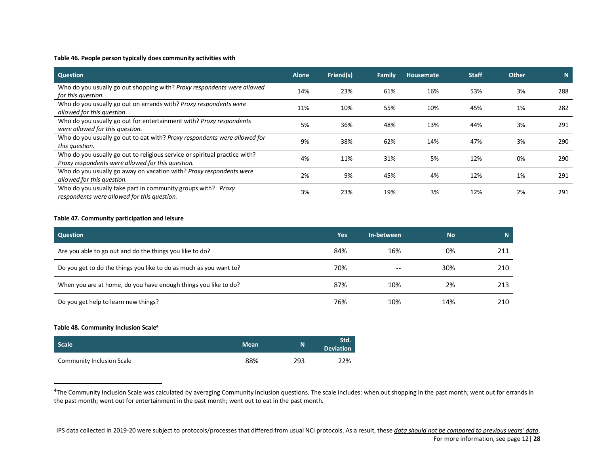# <span id="page-27-0"></span>**Table 46. People person typically does community activities with**

| <b>Question</b>                                                                                                                 | <b>Alone</b> | Friend(s) | Family | Housemate | <b>Staff</b> | <b>Other</b> | N.  |
|---------------------------------------------------------------------------------------------------------------------------------|--------------|-----------|--------|-----------|--------------|--------------|-----|
| Who do you usually go out shopping with? Proxy respondents were allowed<br>for this question.                                   | 14%          | 23%       | 61%    | 16%       | 53%          | 3%           | 288 |
| Who do you usually go out on errands with? Proxy respondents were<br>allowed for this question.                                 | 11%          | 10%       | 55%    | 10%       | 45%          | 1%           | 282 |
| Who do you usually go out for entertainment with? Proxy respondents<br>were allowed for this question.                          | 5%           | 36%       | 48%    | 13%       | 44%          | 3%           | 291 |
| Who do you usually go out to eat with? Proxy respondents were allowed for<br>this question.                                     | 9%           | 38%       | 62%    | 14%       | 47%          | 3%           | 290 |
| Who do you usually go out to religious service or spiritual practice with?<br>Proxy respondents were allowed for this question. | 4%           | 11%       | 31%    | 5%        | 12%          | 0%           | 290 |
| Who do you usually go away on vacation with? Proxy respondents were<br>allowed for this question.                               | 2%           | 9%        | 45%    | 4%        | 12%          | 1%           | 291 |
| Who do you usually take part in community groups with? Proxy<br>respondents were allowed for this question.                     | 3%           | 23%       | 19%    | 3%        | 12%          | 2%           | 291 |

#### <span id="page-27-1"></span>**Table 47. Community participation and leisure**

| <b>Question</b>                                                    | Yes | In-between | <b>No</b> | Ñ   |
|--------------------------------------------------------------------|-----|------------|-----------|-----|
| Are you able to go out and do the things you like to do?           | 84% | 16%        | 0%        | 211 |
| Do you get to do the things you like to do as much as you want to? | 70% | $- -$      | 30%       | 210 |
| When you are at home, do you have enough things you like to do?    | 87% | 10%        | 2%        | 213 |
| Do you get help to learn new things?                               | 76% | 10%        | 14%       | 210 |

#### <span id="page-27-2"></span>**Table 48. Community Inclusion Scale<sup>4</sup>**

 $\overline{a}$ 

| <b>Scale</b>                     | <b>Mean</b> | N   | Std.<br><b>Deviation</b> |
|----------------------------------|-------------|-----|--------------------------|
| <b>Community Inclusion Scale</b> | 88%         | 293 | 22%                      |

<sup>&</sup>lt;sup>4</sup>The Community Inclusion Scale was calculated by averaging Community Inclusion questions. The scale includes: when out shopping in the past month; went out for errands in the past month; went out for entertainment in the past month; went out to eat in the past month.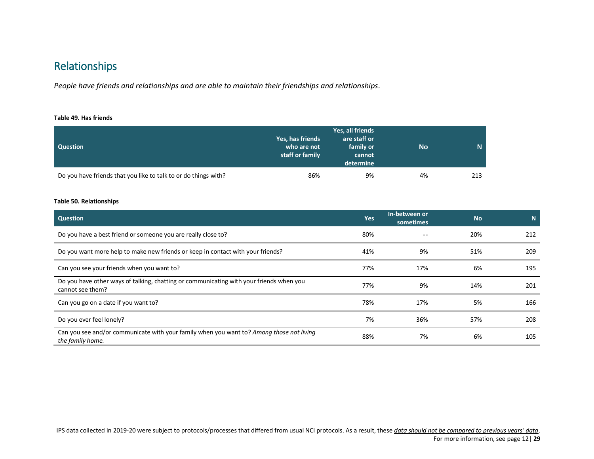# <span id="page-28-0"></span>Relationships

*People have friends and relationships and are able to maintain their friendships and relationships.*

#### <span id="page-28-1"></span>**Table 49. Has friends**

| <b>Question</b>                                                 | Yes, has friends<br>who are not<br>staff or family | Yes, all friends<br>are staff or<br>family or<br>cannot<br>determine | <b>No</b> | N   |
|-----------------------------------------------------------------|----------------------------------------------------|----------------------------------------------------------------------|-----------|-----|
| Do you have friends that you like to talk to or do things with? | 86%                                                | 9%                                                                   | 4%        | 213 |

# <span id="page-28-2"></span>**Table 50. Relationships**

| Question                                                                                                     | Yes | In-between or<br>sometimes | <b>No</b> | N   |
|--------------------------------------------------------------------------------------------------------------|-----|----------------------------|-----------|-----|
| Do you have a best friend or someone you are really close to?                                                | 80% |                            | 20%       | 212 |
| Do you want more help to make new friends or keep in contact with your friends?                              | 41% | 9%                         | 51%       | 209 |
| Can you see your friends when you want to?                                                                   | 77% | 17%                        | 6%        | 195 |
| Do you have other ways of talking, chatting or communicating with your friends when you<br>cannot see them?  | 77% | 9%                         | 14%       | 201 |
| Can you go on a date if you want to?                                                                         | 78% | 17%                        | 5%        | 166 |
| Do you ever feel lonely?                                                                                     | 7%  | 36%                        | 57%       | 208 |
| Can you see and/or communicate with your family when you want to? Among those not living<br>the family home. | 88% | 7%                         | 6%        | 105 |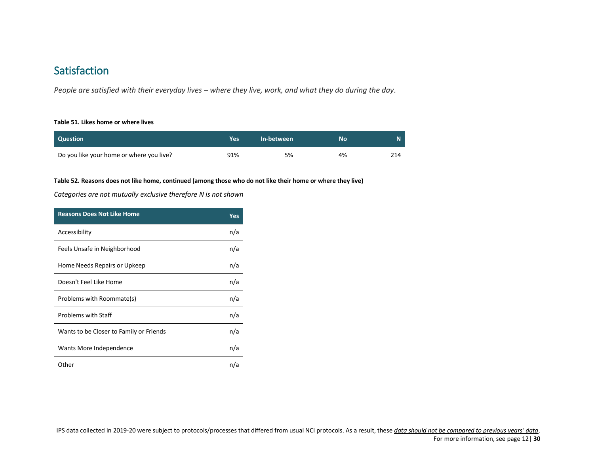# <span id="page-29-0"></span>**Satisfaction**

*People are satisfied with their everyday lives – where they live, work, and what they do during the day.* 

#### <span id="page-29-1"></span>**Table 51. Likes home or where lives**

| <b>Question</b>                          | Yes | In-between | Nο |  |
|------------------------------------------|-----|------------|----|--|
| Do you like your home or where you live? | 91% | 5%         | 4% |  |

# <span id="page-29-2"></span>**Table 52. Reasons does not like home, continued (among those who do not like their home or where they live)**

# *Categories are not mutually exclusive therefore N is not shown*

| <b>Reasons Does Not Like Home</b>       | Yes |
|-----------------------------------------|-----|
| Accessibility                           | n/a |
| Feels Unsafe in Neighborhood            | n/a |
| Home Needs Repairs or Upkeep            | n/a |
| Doesn't Feel Like Home                  | n/a |
| Problems with Roommate(s)               | n/a |
| <b>Problems with Staff</b>              | n/a |
| Wants to be Closer to Family or Friends | n/a |
| Wants More Independence                 | n/a |
| Other                                   | n/a |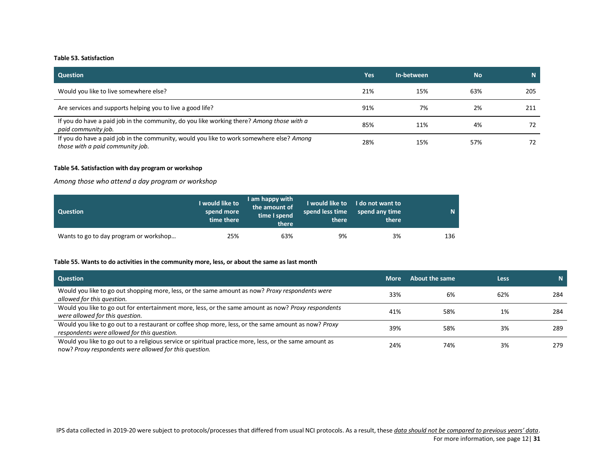#### <span id="page-30-0"></span>**Table 53. Satisfaction**

| <b>Question</b>                                                                                                              | Yes | In-between | <b>No</b> | N.  |
|------------------------------------------------------------------------------------------------------------------------------|-----|------------|-----------|-----|
| Would you like to live somewhere else?                                                                                       | 21% | 15%        | 63%       | 205 |
| Are services and supports helping you to live a good life?                                                                   | 91% | 7%         | 2%        | 211 |
| If you do have a paid job in the community, do you like working there? Among those with a<br>paid community job.             | 85% | 11%        | 4%        | 72  |
| If you do have a paid job in the community, would you like to work somewhere else? Among<br>those with a paid community job. | 28% | 15%        | 57%       | 72  |

#### <span id="page-30-1"></span>**Table 54. Satisfaction with day program or workshop**

*Among those who attend a day program or workshop*

| <b>Question</b>                        | I would like to<br>spend more<br>time there | I am happy with<br>the amount of<br>time I spend<br>there | I would like to<br>spend less time<br>there | I do not want to<br>spend any time<br>there | N.  |
|----------------------------------------|---------------------------------------------|-----------------------------------------------------------|---------------------------------------------|---------------------------------------------|-----|
| Wants to go to day program or workshop | 25%                                         | 63%                                                       | 9%                                          | 3%                                          | 136 |

# <span id="page-30-2"></span>**Table 55. Wants to do activities in the community more, less, or about the same as last month**

| <b>Question</b>                                                                                                                                                   | <b>More</b> | About the same | <b>Less</b> | N.  |
|-------------------------------------------------------------------------------------------------------------------------------------------------------------------|-------------|----------------|-------------|-----|
| Would you like to go out shopping more, less, or the same amount as now? Proxy respondents were<br>allowed for this question.                                     | 33%         | 6%             | 62%         | 284 |
| Would you like to go out for entertainment more, less, or the same amount as now? Proxy respondents<br>were allowed for this question.                            | 41%         | 58%            | 1%          | 284 |
| Would you like to go out to a restaurant or coffee shop more, less, or the same amount as now? Proxy<br>respondents were allowed for this question.               | 39%         | 58%            | 3%          | 289 |
| Would you like to go out to a religious service or spiritual practice more, less, or the same amount as<br>now? Proxy respondents were allowed for this question. | 24%         | 74%            | 3%          | 279 |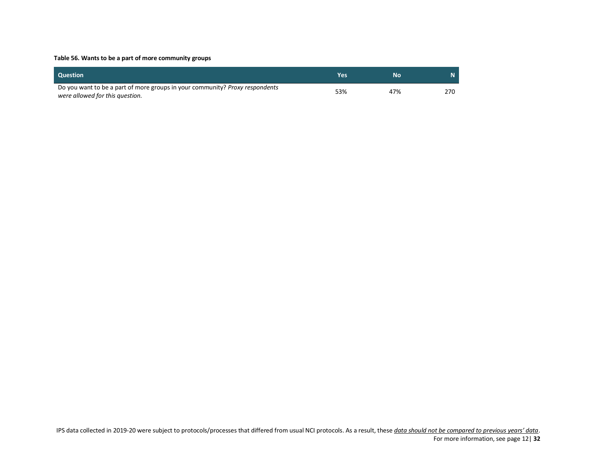### <span id="page-31-0"></span>**Table 56. Wants to be a part of more community groups**

| <b>Question</b>                                                                                                        | Yes | Nο  |     |
|------------------------------------------------------------------------------------------------------------------------|-----|-----|-----|
| Do you want to be a part of more groups in your community? <i>Proxy respondents</i><br>were allowed for this question. | 53% | 47% | 270 |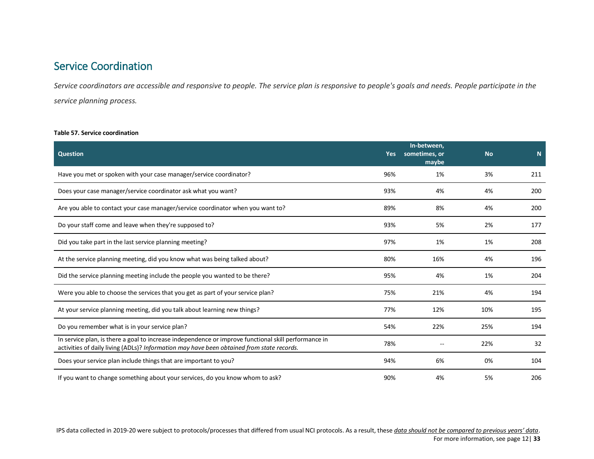# <span id="page-32-0"></span>Service Coordination

*Service coordinators are accessible and responsive to people. The service plan is responsive to people's goals and needs. People participate in the service planning process.*

### <span id="page-32-1"></span>**Table 57. Service coordination**

| <b>Question</b>                                                                                                                                                                                   | <b>Yes</b> | In-between,<br>sometimes, or<br>maybe | <b>No</b> | N <sub>1</sub> |
|---------------------------------------------------------------------------------------------------------------------------------------------------------------------------------------------------|------------|---------------------------------------|-----------|----------------|
| Have you met or spoken with your case manager/service coordinator?                                                                                                                                | 96%        | 1%                                    | 3%        | 211            |
| Does your case manager/service coordinator ask what you want?                                                                                                                                     | 93%        | 4%                                    | 4%        | 200            |
| Are you able to contact your case manager/service coordinator when you want to?                                                                                                                   | 89%        | 8%                                    | 4%        | 200            |
| Do your staff come and leave when they're supposed to?                                                                                                                                            | 93%        | 5%                                    | 2%        | 177            |
| Did you take part in the last service planning meeting?                                                                                                                                           | 97%        | 1%                                    | 1%        | 208            |
| At the service planning meeting, did you know what was being talked about?                                                                                                                        | 80%        | 16%                                   | 4%        | 196            |
| Did the service planning meeting include the people you wanted to be there?                                                                                                                       | 95%        | 4%                                    | 1%        | 204            |
| Were you able to choose the services that you get as part of your service plan?                                                                                                                   | 75%        | 21%                                   | 4%        | 194            |
| At your service planning meeting, did you talk about learning new things?                                                                                                                         | 77%        | 12%                                   | 10%       | 195            |
| Do you remember what is in your service plan?                                                                                                                                                     | 54%        | 22%                                   | 25%       | 194            |
| In service plan, is there a goal to increase independence or improve functional skill performance in<br>activities of daily living (ADLs)? Information may have been obtained from state records. | 78%        |                                       | 22%       | 32             |
| Does your service plan include things that are important to you?                                                                                                                                  | 94%        | 6%                                    | 0%        | 104            |
| If you want to change something about your services, do you know whom to ask?                                                                                                                     | 90%        | 4%                                    | 5%        | 206            |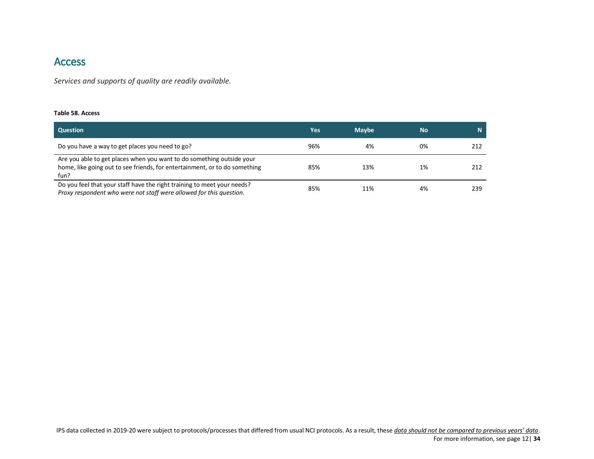# <span id="page-33-0"></span>Access

*Services and supports of quality are readily available.*

#### <span id="page-33-1"></span>**Table 58. Access**

| <b>Question</b>                                                                                                                                             | Yes | <b>Maybe</b> | <b>No</b> | N.  |
|-------------------------------------------------------------------------------------------------------------------------------------------------------------|-----|--------------|-----------|-----|
| Do you have a way to get places you need to go?                                                                                                             | 96% | 4%           | 0%        | 212 |
| Are you able to get places when you want to do something outside your<br>home, like going out to see friends, for entertainment, or to do something<br>fun? | 85% | 13%          | 1%        | 212 |
| Do you feel that your staff have the right training to meet your needs?<br>Proxy respondent who were not staff were allowed for this question.              | 85% | 11%          | 4%        | 239 |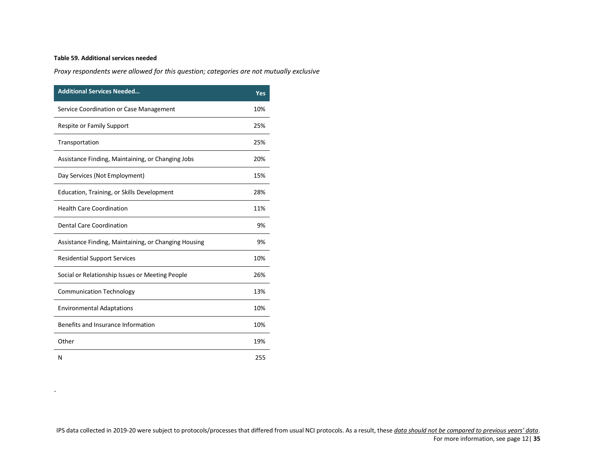# <span id="page-34-0"></span>**Table 59. Additional services needed**

.

*Proxy respondents were allowed for this question; categories are not mutually exclusive*

| <b>Additional Services Needed</b>                    | Yes |
|------------------------------------------------------|-----|
| Service Coordination or Case Management              | 10% |
| Respite or Family Support                            | 25% |
| Transportation                                       | 25% |
| Assistance Finding, Maintaining, or Changing Jobs    | 20% |
| Day Services (Not Employment)                        | 15% |
| Education, Training, or Skills Development           | 28% |
| <b>Health Care Coordination</b>                      | 11% |
| <b>Dental Care Coordination</b>                      | 9%  |
| Assistance Finding, Maintaining, or Changing Housing | 9%  |
| <b>Residential Support Services</b>                  | 10% |
| Social or Relationship Issues or Meeting People      | 26% |
| <b>Communication Technology</b>                      | 13% |
| <b>Environmental Adaptations</b>                     | 10% |
| Benefits and Insurance Information                   | 10% |
| Other                                                | 19% |
| N                                                    | 255 |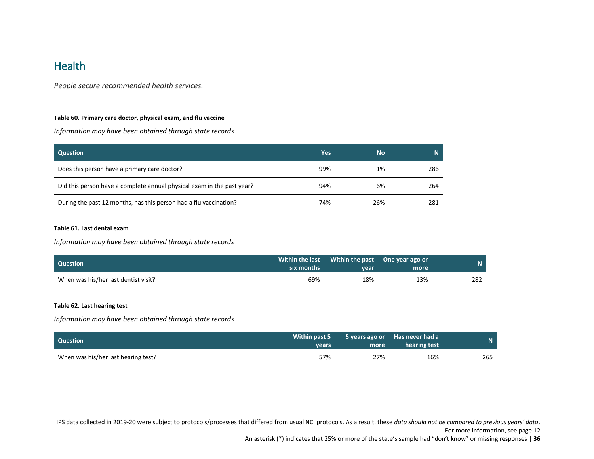# <span id="page-35-0"></span>**Health**

*People secure recommended health services.*

# <span id="page-35-1"></span>**Table 60. Primary care doctor, physical exam, and flu vaccine**

*Information may have been obtained through state records*

| Question                                                               | Yes | <b>No</b> |     |
|------------------------------------------------------------------------|-----|-----------|-----|
| Does this person have a primary care doctor?                           | 99% | 1%        | 286 |
| Did this person have a complete annual physical exam in the past year? | 94% | 6%        | 264 |
| During the past 12 months, has this person had a flu vaccination?      | 74% | 26%       | 281 |

#### <span id="page-35-2"></span>**Table 61. Last dental exam**

*Information may have been obtained through state records*

| <b>Ouestion</b>                      | six months | Within the last Within the past One year ago or<br>vear | more | N.  |
|--------------------------------------|------------|---------------------------------------------------------|------|-----|
| When was his/her last dentist visit? | 69%        | 18%                                                     | 13%  | 282 |

# <span id="page-35-3"></span>**Table 62. Last hearing test**

*Information may have been obtained through state records*

| <b>Question</b>                     | Within past 5<br><b>vears</b> | more | 5 years ago or Has never had a<br>hearing test | N.  |
|-------------------------------------|-------------------------------|------|------------------------------------------------|-----|
| When was his/her last hearing test? | 57%                           | 27%  | 16%                                            | 265 |

IPS data collected in 2019-20 were subject to protocols/processes that differed from usual NCI protocols. As a result, these *data should not be compared to previous years' data*.

For more information, see page 12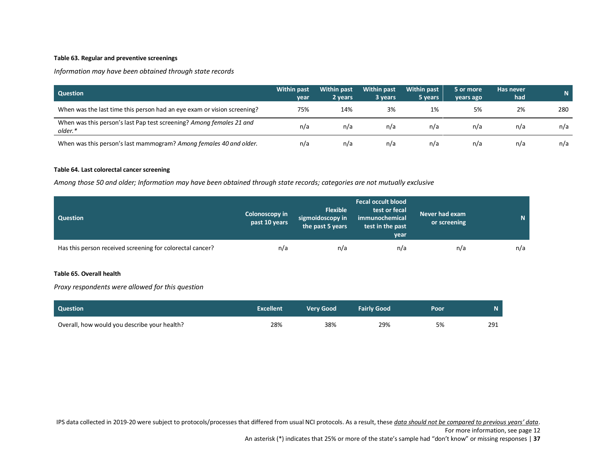# <span id="page-36-0"></span>**Table 63. Regular and preventive screenings**

*Information may have been obtained through state records*

| <b>Question</b>                                                                 | <b>Within past</b><br>year | <b>Within past</b><br>2 years | <b>Within past</b><br>3 years | <b>Within past</b><br>5 years | 5 or more<br>vears ago | Has never<br>had | N.  |
|---------------------------------------------------------------------------------|----------------------------|-------------------------------|-------------------------------|-------------------------------|------------------------|------------------|-----|
| When was the last time this person had an eye exam or vision screening?         | 75%                        | 14%                           | 3%                            | 1%                            | 5%                     | 2%               | 280 |
| When was this person's last Pap test screening? Among females 21 and<br>older.* | n/a                        | n/a                           | n/a                           | n/a                           | n/a                    | n/a              | n/a |
| When was this person's last mammogram? Among females 40 and older.              | n/a                        | n/a                           | n/a                           | n/a                           | n/a                    | n/a              | n/a |

#### <span id="page-36-1"></span>**Table 64. Last colorectal cancer screening**

*Among those 50 and older; Information may have been obtained through state records; categories are not mutually exclusive*

| <b>Question</b>                                           | <b>Colonoscopy in</b><br>past 10 years | <b>Flexible</b><br>sigmoidoscopy in<br>the past 5 years | <b>Fecal occult blood</b><br>test or fecal<br>immunochemical<br>test in the past<br>year | Never had exam<br>or screening | $\mathbf N$ |
|-----------------------------------------------------------|----------------------------------------|---------------------------------------------------------|------------------------------------------------------------------------------------------|--------------------------------|-------------|
| Has this person received screening for colorectal cancer? | n/a                                    | n/a                                                     | n/a                                                                                      | n/a                            | n/a         |

# <span id="page-36-2"></span>**Table 65. Overall health**

*Proxy respondents were allowed for this question*

| Question                                     | <b>Excellent</b> | <b>Verv Good</b> | <b>Fairly Good</b> | Poor | N   |
|----------------------------------------------|------------------|------------------|--------------------|------|-----|
| Overall, how would you describe your health? | 28%              | 38%              | 29%                | 5%   | 291 |

IPS data collected in 2019-20 were subject to protocols/processes that differed from usual NCI protocols. As a result, these *data should not be compared to previous years' data*.

For more information, see page 12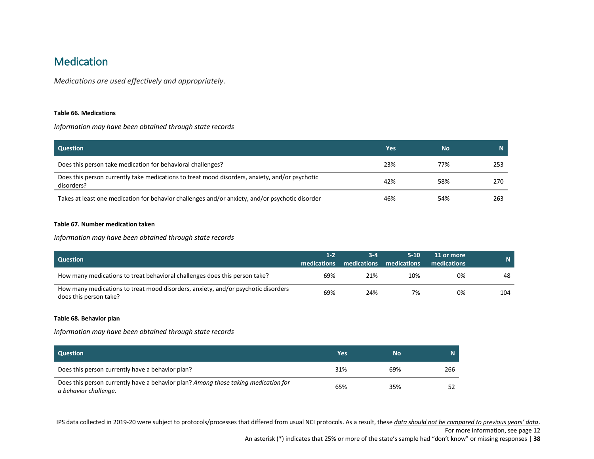# <span id="page-37-0"></span>**Medication**

*Medications are used effectively and appropriately.*

#### <span id="page-37-1"></span>**Table 66. Medications**

*Information may have been obtained through state records*

| <b>Question</b>                                                                                              | Yes | 'No. |     |
|--------------------------------------------------------------------------------------------------------------|-----|------|-----|
| Does this person take medication for behavioral challenges?                                                  | 23% | 77%  | 253 |
| Does this person currently take medications to treat mood disorders, anxiety, and/or psychotic<br>disorders? | 42% | 58%  | 270 |
| Takes at least one medication for behavior challenges and/or anxiety, and/or psychotic disorder              | 46% | 54%  | 263 |

#### <span id="page-37-2"></span>**Table 67. Number medication taken**

*Information may have been obtained through state records*

| Question                                                                                                    | $1 - 2$<br>medications | $3 - 4$<br>medications medications | $5 - 10$ | 11 or more<br>medications | N   |
|-------------------------------------------------------------------------------------------------------------|------------------------|------------------------------------|----------|---------------------------|-----|
| How many medications to treat behavioral challenges does this person take?                                  | 69%                    | 21%                                | 10%      | 0%                        | 48  |
| How many medications to treat mood disorders, anxiety, and/or psychotic disorders<br>does this person take? | 69%                    | 24%                                | 7%       | 0%                        | 104 |

#### <span id="page-37-3"></span>**Table 68. Behavior plan**

*Information may have been obtained through state records*

| Question                                                                                                    | Yes | No  |     |
|-------------------------------------------------------------------------------------------------------------|-----|-----|-----|
| Does this person currently have a behavior plan?                                                            | 31% | 69% | 266 |
| Does this person currently have a behavior plan? Among those taking medication for<br>a behavior challenge. | 65% | 35% |     |

IPS data collected in 2019-20 were subject to protocols/processes that differed from usual NCI protocols. As a result, these *data should not be compared to previous years' data*.

For more information, see page 12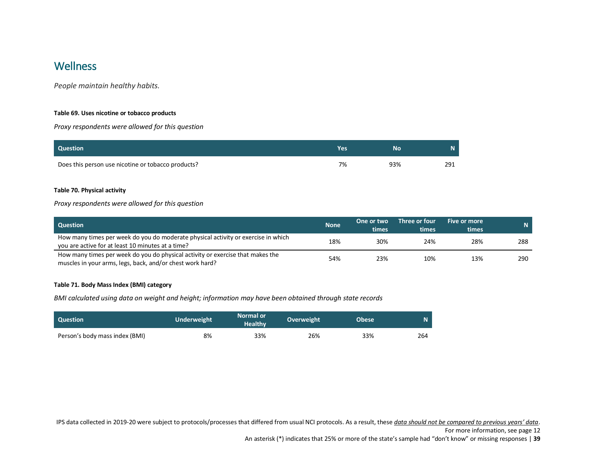# <span id="page-38-0"></span>**Wellness**

*People maintain healthy habits.*

### <span id="page-38-1"></span>**Table 69. Uses nicotine or tobacco products**

*Proxy respondents were allowed for this question*

| <b>Question</b>                                    | Yes | Nο  | N   |
|----------------------------------------------------|-----|-----|-----|
| Does this person use nicotine or tobacco products? | 7%  | 93% | 291 |

# <span id="page-38-2"></span>**Table 70. Physical activity**

# *Proxy respondents were allowed for this question*

| <b>Question</b>                                                                                                                             | <b>None</b> | One or two<br>times | Three or four<br>times | Five or more<br>times | $\mathsf{N}$ |
|---------------------------------------------------------------------------------------------------------------------------------------------|-------------|---------------------|------------------------|-----------------------|--------------|
| How many times per week do you do moderate physical activity or exercise in which<br>you are active for at least 10 minutes at a time?      | 18%         | 30%                 | 24%                    | 28%                   | 288          |
| How many times per week do you do physical activity or exercise that makes the<br>muscles in your arms, legs, back, and/or chest work hard? | 54%         | 23%                 | 10%                    | 13%                   | 290          |

#### <span id="page-38-3"></span>**Table 71. Body Mass Index (BMI) category**

*BMI calculated using data on weight and height; information may have been obtained through state records*

| <b>Question</b>                | <b>Underweight</b> | <b>Normal or</b><br><b>Healthy</b> | Overweight | <b>Obese</b> | 'N. |
|--------------------------------|--------------------|------------------------------------|------------|--------------|-----|
| Person's body mass index (BMI) | 8%                 | 33%                                | 26%        | 33%          | 264 |

IPS data collected in 2019-20 were subject to protocols/processes that differed from usual NCI protocols. As a result, these *data should not be compared to previous years' data*.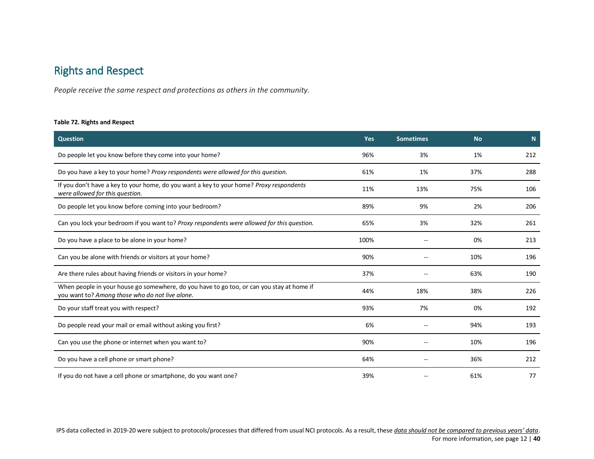# <span id="page-39-0"></span>Rights and Respect

*People receive the same respect and protections as others in the community.*

#### <span id="page-39-1"></span>**Table 72. Rights and Respect**

| <b>Question</b>                                                                                                                              | <b>Yes</b> | <b>Sometimes</b> | <b>No</b> | N   |
|----------------------------------------------------------------------------------------------------------------------------------------------|------------|------------------|-----------|-----|
| Do people let you know before they come into your home?                                                                                      | 96%        | 3%               | 1%        | 212 |
| Do you have a key to your home? Proxy respondents were allowed for this question.                                                            | 61%        | 1%               | 37%       | 288 |
| If you don't have a key to your home, do you want a key to your home? Proxy respondents<br>were allowed for this question.                   | 11%        | 13%              | 75%       | 106 |
| Do people let you know before coming into your bedroom?                                                                                      | 89%        | 9%               | 2%        | 206 |
| Can you lock your bedroom if you want to? Proxy respondents were allowed for this question.                                                  | 65%        | 3%               | 32%       | 261 |
| Do you have a place to be alone in your home?                                                                                                | 100%       |                  | 0%        | 213 |
| Can you be alone with friends or visitors at your home?                                                                                      | 90%        |                  | 10%       | 196 |
| Are there rules about having friends or visitors in your home?                                                                               | 37%        |                  | 63%       | 190 |
| When people in your house go somewhere, do you have to go too, or can you stay at home if<br>you want to? Among those who do not live alone. | 44%        | 18%              | 38%       | 226 |
| Do your staff treat you with respect?                                                                                                        | 93%        | 7%               | 0%        | 192 |
| Do people read your mail or email without asking you first?                                                                                  | 6%         |                  | 94%       | 193 |
| Can you use the phone or internet when you want to?                                                                                          | 90%        |                  | 10%       | 196 |
| Do you have a cell phone or smart phone?                                                                                                     | 64%        |                  | 36%       | 212 |
| If you do not have a cell phone or smartphone, do you want one?                                                                              | 39%        |                  | 61%       | 77  |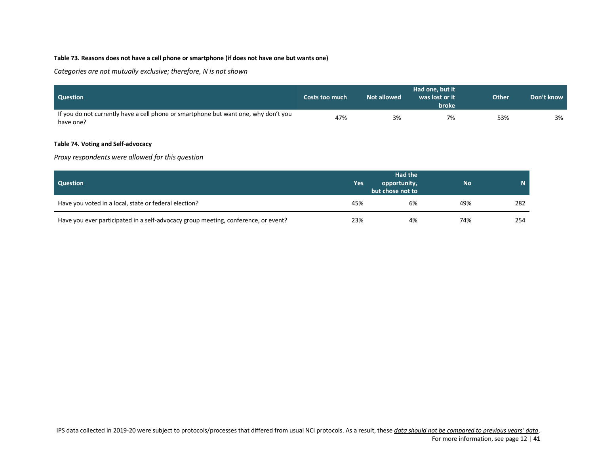# <span id="page-40-0"></span>**Table 73. Reasons does not have a cell phone or smartphone (if does not have one but wants one)**

*Categories are not mutually exclusive; therefore, N is not shown*

| <b>Question</b>                                                                                  | Costs too much | Not allowed | Had one, but it<br>was lost or it<br>broke | <b>Other</b> | Don't know |
|--------------------------------------------------------------------------------------------------|----------------|-------------|--------------------------------------------|--------------|------------|
| If you do not currently have a cell phone or smartphone but want one, why don't you<br>have one? | 47%            | 3%          | 7%                                         | 53%          | 3%         |

### <span id="page-40-1"></span>**Table 74. Voting and Self-advocacy**

*Proxy respondents were allowed for this question*

| <b>Question</b>                                                                    | Yes | <b>Had the</b><br>opportunity,<br>but chose not to | <b>No</b> | N   |
|------------------------------------------------------------------------------------|-----|----------------------------------------------------|-----------|-----|
| Have you voted in a local, state or federal election?                              | 45% | 6%                                                 | 49%       | 282 |
| Have you ever participated in a self-advocacy group meeting, conference, or event? | 23% | 4%                                                 | 74%       | 254 |